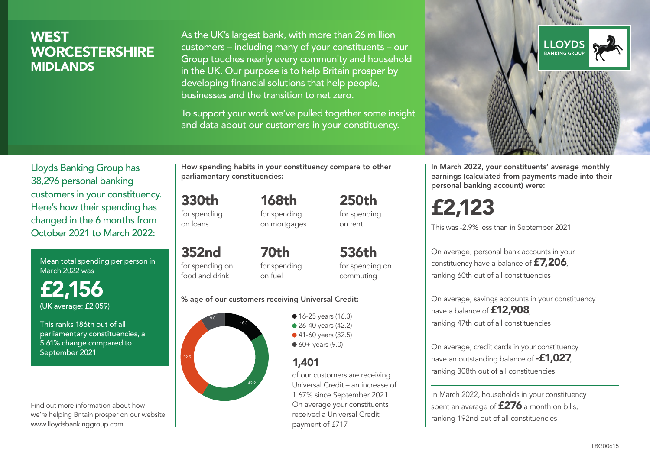# **WEST WORCESTERSHIRE** MIDLANDS

As the UK's largest bank, with more than 26 million customers – including many of your constituents – our Group touches nearly every community and household in the UK. Our purpose is to help Britain prosper by developing financial solutions that help people, businesses and the transition to net zero.

To support your work we've pulled together some insight and data about our customers in your constituency.



Mean total spending per person in March 2022 was

£2,156 (UK average: £2,059)

This ranks 186th out of all parliamentary constituencies, a 5.61% change compared to September 2021

Find out more information about how we're helping Britain prosper on our website www.lloydsbankinggroup.com

How spending habits in your constituency compare to other parliamentary constituencies:

330th for spending on loans

352nd

for spending on mortgages

168th

250th for spending on rent

for spending on food and drink 70th for spending on fuel

536th for spending on commuting

#### % age of our customers receiving Universal Credit:



• 16-25 years (16.3) • 26-40 years (42.2) ● 41-60 years (32.5)  $60+$  years (9.0)

# 1,401

of our customers are receiving Universal Credit – an increase of 1.67% since September 2021. On average your constituents received a Universal Credit payment of £717



In March 2022, your constituents' average monthly earnings (calculated from payments made into their personal banking account) were:

# £2,123

This was -2.9% less than in September 2021

On average, personal bank accounts in your constituency have a balance of £7,206, ranking 60th out of all constituencies

On average, savings accounts in your constituency have a balance of **£12,908** ranking 47th out of all constituencies

On average, credit cards in your constituency have an outstanding balance of **-£1,027** ranking 308th out of all constituencies

In March 2022, households in your constituency spent an average of £276 a month on bills, ranking 192nd out of all constituencies